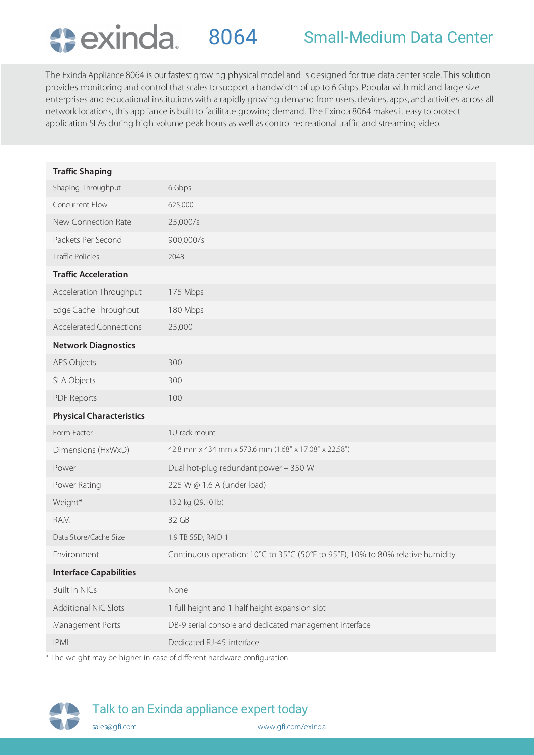

The Exinda Appliance 8064 is our fastest growing physical model and is designed for true data center scale. This solution provides monitoring and control that scales to support a bandwidth of up to 6 Gbps. Popular with mid and large size enterprises and educational institutions with a rapidly growing demand from users, devices, apps, and activities across all network locations, this appliance is built to facilitate growing demand. The Exinda 8064 makes it easy to protect application SLAs during high volume peak hours as well as control recreational traffic and streaming video.

| <b>Traffic Shaping</b>          |                                                                                 |
|---------------------------------|---------------------------------------------------------------------------------|
| Shaping Throughput              | 6 Gbps                                                                          |
| Concurrent Flow                 | 625,000                                                                         |
| New Connection Rate             | 25,000/s                                                                        |
| Packets Per Second              | 900,000/s                                                                       |
| <b>Traffic Policies</b>         | 2048                                                                            |
| <b>Traffic Acceleration</b>     |                                                                                 |
| Acceleration Throughput         | 175 Mbps                                                                        |
| Edge Cache Throughput           | 180 Mbps                                                                        |
| <b>Accelerated Connections</b>  | 25,000                                                                          |
| <b>Network Diagnostics</b>      |                                                                                 |
| APS Objects                     | 300                                                                             |
| SLA Objects                     | 300                                                                             |
| <b>PDF Reports</b>              | 100                                                                             |
| <b>Physical Characteristics</b> |                                                                                 |
| Form Factor                     | 1U rack mount                                                                   |
|                                 |                                                                                 |
| Dimensions (HxWxD)              | 42.8 mm x 434 mm x 573.6 mm (1.68" x 17.08" x 22.58")                           |
| Power                           | Dual hot-plug redundant power - 350 W                                           |
| Power Rating                    | 225 W @ 1.6 A (under load)                                                      |
| Weight*                         | 13.2 kg (29.10 lb)                                                              |
| <b>RAM</b>                      | 32 GB                                                                           |
| Data Store/Cache Size           | 1.9 TB SSD, RAID 1                                                              |
| Environment                     | Continuous operation: 10°C to 35°C (50°F to 95°F), 10% to 80% relative humidity |
| <b>Interface Capabilities</b>   |                                                                                 |
| <b>Built in NICs</b>            | None                                                                            |
| Additional NIC Slots            | 1 full height and 1 half height expansion slot                                  |
| Management Ports                | DB-9 serial console and dedicated management interface                          |
| <b>IPMI</b>                     | Dedicated RJ-45 interface                                                       |

The weight may be higher in case of different hardware configuration.